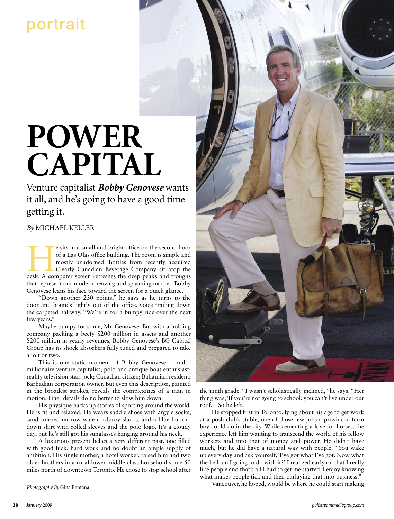## portrait

## **POWER CAPITAL**

Venture capitalist *Bobby Genovese* wants it all, and he's going to have a good time getting it.

*By* MICHAEL KELLER

The sits in a small and bright office on the second floor of a Las Olas office building. The room is simple and mostly unadorned. Bottles from recently acquired desk. A computer screen refreshes the deep peaks and troughs of a Las Olas office building. The room is simple and mostly unadorned. Bottles from recently acquired Clearly Canadian Beverage Company sit atop the that represent our modern heaving and spasming market. Bobby Genovese leans his face toward the screen for a quick glance.

"Down another 230 points," he says as he turns to the door and bounds lightly out of the office, voice trailing down the carpeted hallway. "We're in for a bumpy ride over the next few years."

Maybe bumpy for some, Mr. Genovese. But with a holding company packing a beefy \$200 million in assets and another \$200 million in yearly revenues, Bobby Genovese's BG Capital Group has its shock absorbers fully tuned and prepared to take a jolt or two.

This is one static moment of Bobby Genovese – multimillionaire venture capitalist; polo and antique boat enthusiast; reality television star; jock; Canadian citizen; Bahamian resident; Barbadian corporation owner. But even this description, painted in the broadest strokes, reveals the complexities of a man in motion. Finer details do no better to slow him down.

His physique backs up stories of sporting around the world. He is fit and relaxed. He wears saddle shoes with argyle socks, sand-colored narrow-wale corduroy slacks, and a blue buttondown shirt with rolled sleeves and the polo logo. It's a cloudy day, but he's still got his sunglasses hanging around his neck.

A luxurious present belies a very different past, one filled with good luck, hard work and no doubt an ample supply of ambition. His single mother, a hotel worker, raised him and two older brothers in a rural lower-middle-class household some 50 miles north of downtown Toronto. He chose to stop school after



the ninth grade. "I wasn't scholastically inclined," he says. "Her thing was, 'If you're not going to school, you can't live under our roof.'" So he left.

He stopped first in Toronto, lying about his age to get work at a posh club's stable, one of those few jobs a provincial farm boy could do in the city. While cementing a love for horses, the experience left him wanting to transcend the world of his fellow workers and into that of money and power. He didn't have much, but he did have a natural way with people. "You wake up every day and ask yourself, 'I've got what I've got. Now what the hell am I going to do with it?' I realized early on that I really like people and that's all I had to get me started. I enjoy knowing what makes people tick and then parlaying that into business."

Vancouver, he hoped, would be where he could start making *Photography By* Gina Fontana